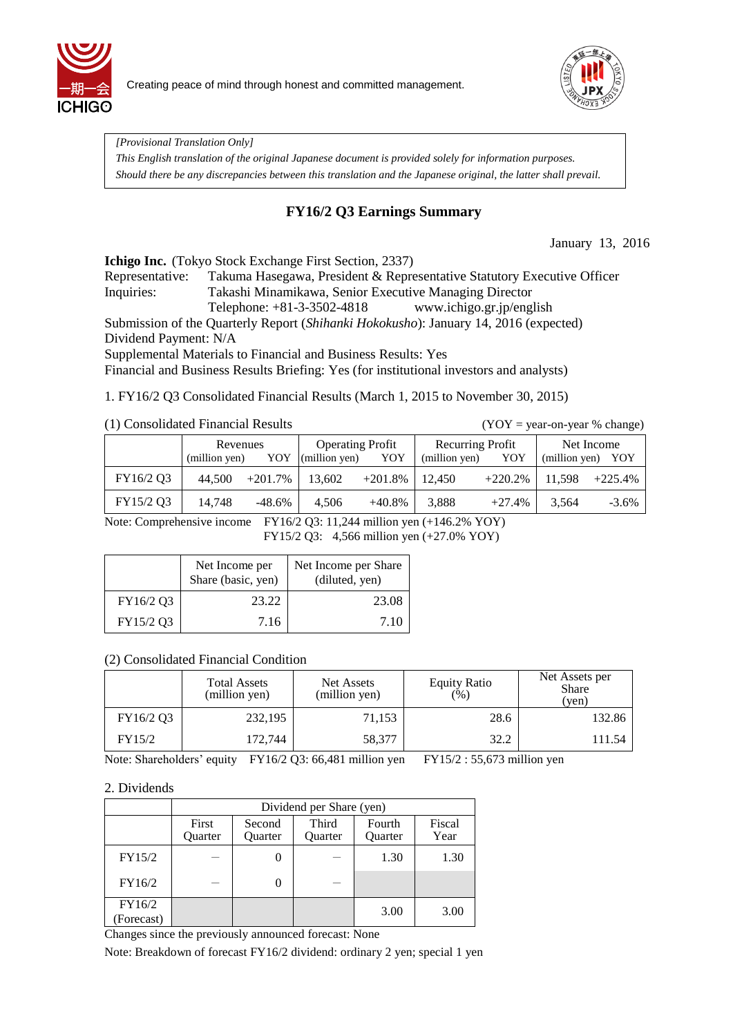



*[Provisional Translation Only]* 

*This English translation of the original Japanese document is provided solely for information purposes. Should there be any discrepancies between this translation and the Japanese original, the latter shall prevail.*

## **FY16/2 Q3 Earnings Summary**

January 13, 2016

**Ichigo Inc.** (Tokyo Stock Exchange First Section, 2337)

Representative: Takuma Hasegawa, President & Representative Statutory Executive Officer Inquiries: Takashi Minamikawa, Senior Executive Managing Director Telephone: +81-3-3502-4818 www.ichigo.gr.jp/english

Submission of the Quarterly Report (*Shihanki Hokokusho*): January 14, 2016 (expected) Dividend Payment: N/A

Supplemental Materials to Financial and Business Results: Yes

Financial and Business Results Briefing: Yes (for institutional investors and analysts)

1. FY16/2 Q3 Consolidated Financial Results (March 1, 2015 to November 30, 2015)

### (1) Consolidated Financial Results (YOY = year-on-year % change)

|           | Revenues      |            | <b>Operating Profit</b> |           | Recurring Profit |            | Net Income        |           |
|-----------|---------------|------------|-------------------------|-----------|------------------|------------|-------------------|-----------|
|           | (million yen) | YOY        | (million yen)           | YOY       | (million yen)    | YOY        | (million yen) YOY |           |
| FY16/2 Q3 | 44.500        | $+201.7\%$ | 13.602                  | $+201.8%$ | 12.450           | $+220.2\%$ | 11,598            | $+225.4%$ |
| FY15/2 Q3 | 14.748        | $-48.6\%$  | 4.506                   | $+40.8\%$ | 3,888            | $+27.4%$   | 3,564             | $-3.6\%$  |

Note: Comprehensive income FY16/2 Q3: 11,244 million yen (+146.2% YOY) FY15/2 Q3: 4,566 million yen (+27.0% YOY)

|           | Net Income per<br>Share (basic, yen) | Net Income per Share<br>(diluted, yen) |  |  |
|-----------|--------------------------------------|----------------------------------------|--|--|
| FY16/2 Q3 | 23.22                                | 23.08                                  |  |  |
| FY15/2 Q3 | 7.16                                 | 7.10                                   |  |  |

## (2) Consolidated Financial Condition

|           | <b>Total Assets</b><br>(million yen) | Net Assets<br>(million yen) | <b>Equity Ratio</b><br>$(\%)$ | Net Assets per<br><b>Share</b><br>(yen) |  |
|-----------|--------------------------------------|-----------------------------|-------------------------------|-----------------------------------------|--|
| FY16/2 Q3 | 232,195                              | 71,153                      | 28.6                          | 132.86                                  |  |
| FY15/2    | 172,744                              | 58,377                      | 32.2                          | 111.54                                  |  |

Note: Shareholders' equity FY16/2 Q3: 66,481 million yen FY15/2 : 55,673 million yen

#### 2. Dividends

|                      | Dividend per Share (yen) |                   |                         |                   |                |  |  |  |  |  |
|----------------------|--------------------------|-------------------|-------------------------|-------------------|----------------|--|--|--|--|--|
|                      | First<br>Quarter         | Second<br>Ouarter | Third<br><b>Ouarter</b> | Fourth<br>Quarter | Fiscal<br>Year |  |  |  |  |  |
| FY15/2               |                          |                   |                         | 1.30              | 1.30           |  |  |  |  |  |
| FY16/2               |                          | $\mathcal{O}$     |                         |                   |                |  |  |  |  |  |
| FY16/2<br>(Forecast) |                          |                   |                         | 3.00              | 3.00           |  |  |  |  |  |

Changes since the previously announced forecast: None

Note: Breakdown of forecast FY16/2 dividend: ordinary 2 yen; special 1 yen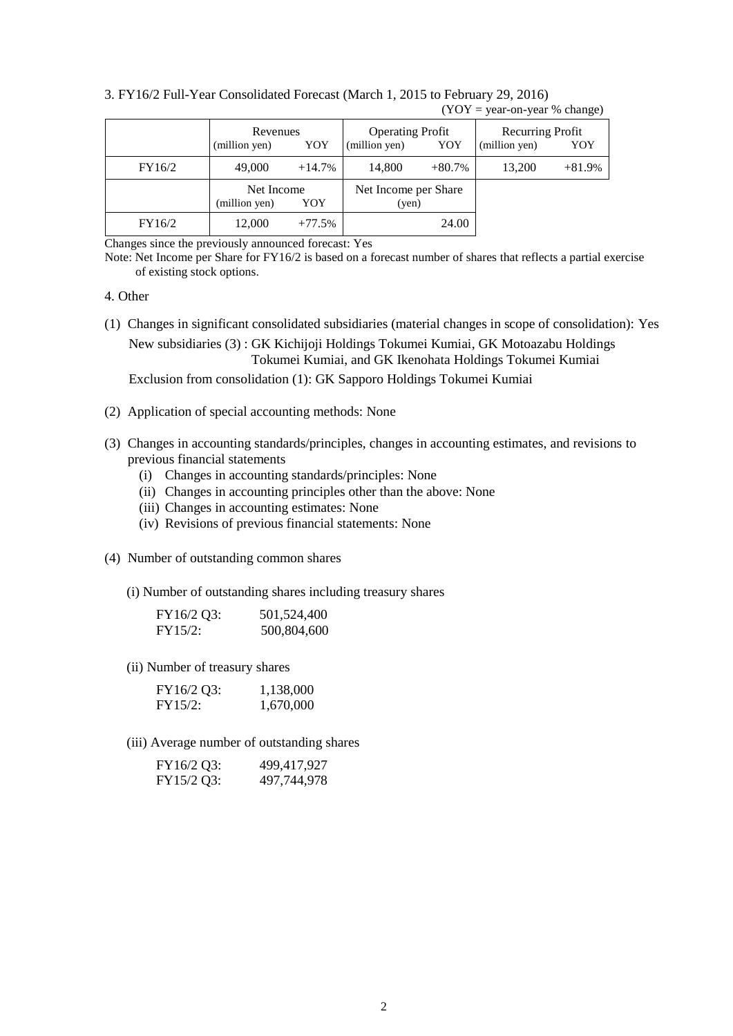|        | Revenues<br>(million yen)          | YOY      | <b>Operating Profit</b><br>(million yen)<br>YOY |          | Recurring Profit<br>(million yen) | YOY      |
|--------|------------------------------------|----------|-------------------------------------------------|----------|-----------------------------------|----------|
| FY16/2 | 49,000                             | $+14.7%$ | 14,800                                          | $+80.7%$ | 13,200                            | $+81.9%$ |
|        | Net Income<br>(million yen)<br>YOY |          | Net Income per Share<br>(yen)                   |          |                                   |          |
| FY16/2 | 12,000                             | $+77.5%$ |                                                 | 24.00    |                                   |          |

3. FY16/2 Full-Year Consolidated Forecast (March 1, 2015 to February 29, 2016)  $(YOY = year-on-year % change)$ 

Changes since the previously announced forecast: Yes

Note: Net Income per Share for FY16/2 is based on a forecast number of shares that reflects a partial exercise of existing stock options.

#### 4. Other

- (1) Changes in significant consolidated subsidiaries (material changes in scope of consolidation): Yes New subsidiaries (3) : GK Kichijoji Holdings Tokumei Kumiai, GK Motoazabu Holdings Tokumei Kumiai, and GK Ikenohata Holdings Tokumei Kumiai Exclusion from consolidation (1): GK Sapporo Holdings Tokumei Kumiai
- (2) Application of special accounting methods: None
- (3) Changes in accounting standards/principles, changes in accounting estimates, and revisions to previous financial statements
	- (i) Changes in accounting standards/principles: None
	- (ii) Changes in accounting principles other than the above: None
	- (iii) Changes in accounting estimates: None
	- (iv) Revisions of previous financial statements: None
- (4) Number of outstanding common shares
	- (i) Number of outstanding shares including treasury shares

| FY16/2 Q3: | 501,524,400 |
|------------|-------------|
| FY15/2:    | 500,804,600 |

(ii) Number of treasury shares

| FY16/2 Q3: | 1,138,000 |
|------------|-----------|
| FY15/2:    | 1,670,000 |

(iii) Average number of outstanding shares

| FY16/2 Q3: | 499,417,927 |
|------------|-------------|
| FY15/2 Q3: | 497,744,978 |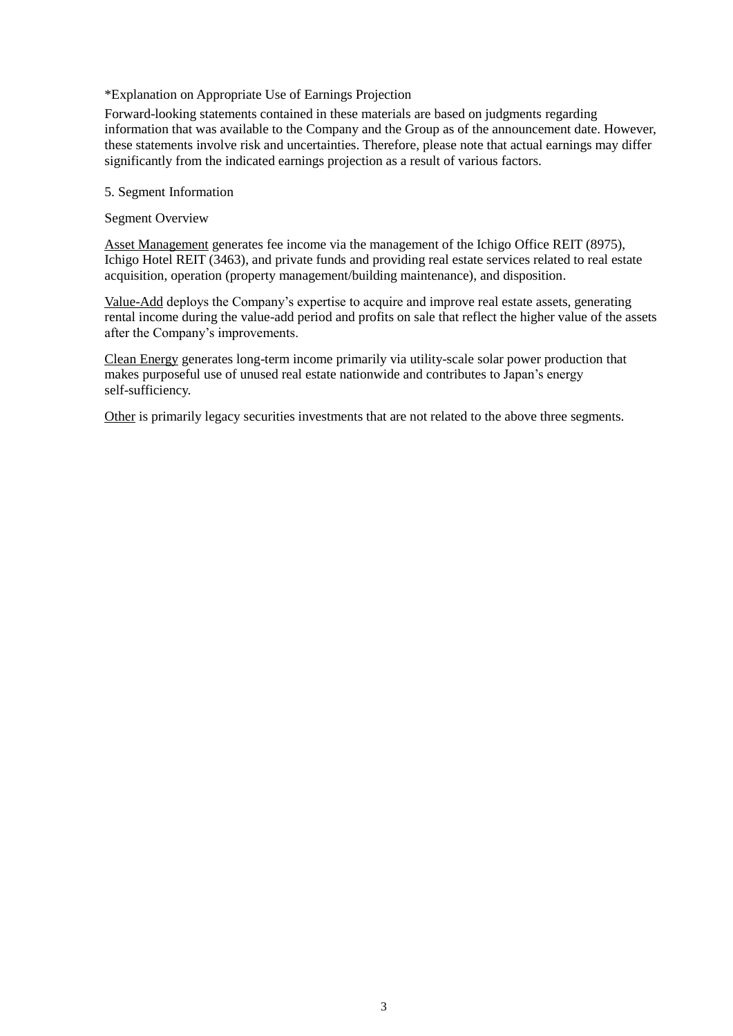#### \*Explanation on Appropriate Use of Earnings Projection

Forward-looking statements contained in these materials are based on judgments regarding information that was available to the Company and the Group as of the announcement date. However, these statements involve risk and uncertainties. Therefore, please note that actual earnings may differ significantly from the indicated earnings projection as a result of various factors.

#### 5. Segment Information

#### Segment Overview

Asset Management generates fee income via the management of the Ichigo Office REIT (8975), Ichigo Hotel REIT (3463), and private funds and providing real estate services related to real estate acquisition, operation (property management/building maintenance), and disposition.

Value-Add deploys the Company's expertise to acquire and improve real estate assets, generating rental income during the value-add period and profits on sale that reflect the higher value of the assets after the Company's improvements.

Clean Energy generates long-term income primarily via utility-scale solar power production that makes purposeful use of unused real estate nationwide and contributes to Japan's energy self-sufficiency.

Other is primarily legacy securities investments that are not related to the above three segments.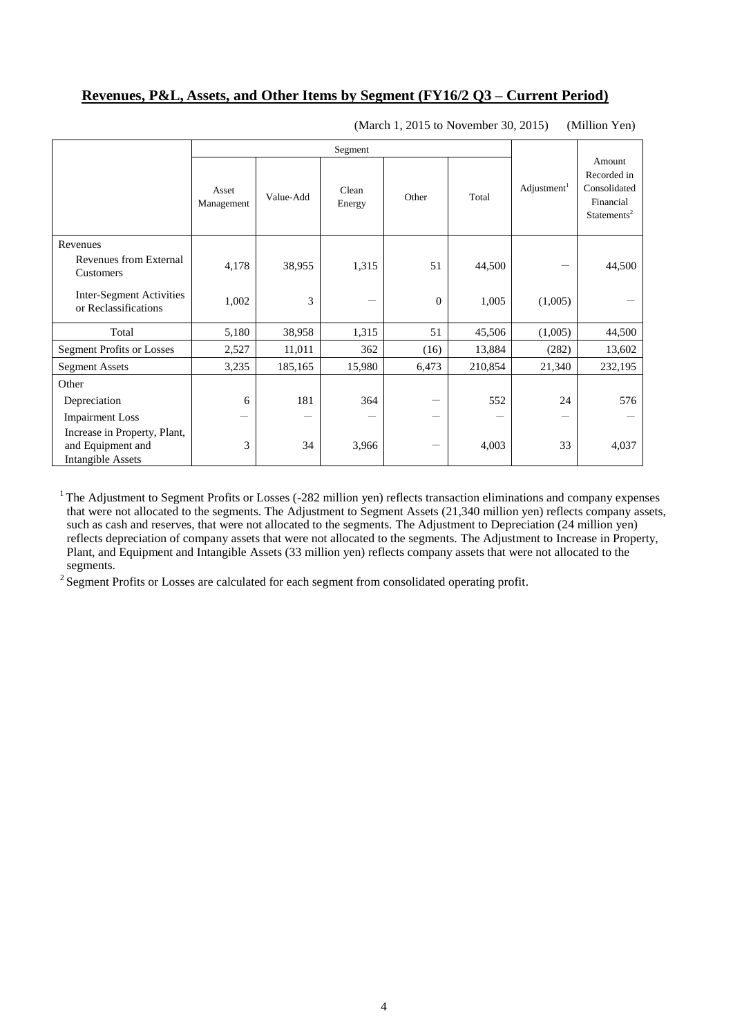## **Revenues, P&L, Assets, and Other Items by Segment (FY16/2 Q3 – Current Period)**

|                                                                               |                     | Segment   |                 |                |         |                         |                                                                               |
|-------------------------------------------------------------------------------|---------------------|-----------|-----------------|----------------|---------|-------------------------|-------------------------------------------------------------------------------|
|                                                                               | Asset<br>Management | Value-Add | Clean<br>Energy | Other          | Total   | Adjustment <sup>1</sup> | Amount<br>Recorded in<br>Consolidated<br>Financial<br>Statements <sup>2</sup> |
| Revenues                                                                      |                     |           |                 |                |         |                         |                                                                               |
| Revenues from External<br>Customers                                           | 4,178               | 38,955    | 1,315           | 51             | 44,500  |                         | 44,500                                                                        |
| Inter-Segment Activities<br>or Reclassifications                              | 1,002               | 3         |                 | $\overline{0}$ | 1,005   | (1,005)                 |                                                                               |
| Total                                                                         | 5,180               | 38,958    | 1,315           | 51             | 45,506  | (1,005)                 | 44,500                                                                        |
| <b>Segment Profits or Losses</b>                                              | 2,527               | 11,011    | 362             | (16)           | 13,884  | (282)                   | 13,602                                                                        |
| <b>Segment Assets</b>                                                         | 3,235               | 185,165   | 15,980          | 6,473          | 210,854 | 21,340                  | 232,195                                                                       |
| Other                                                                         |                     |           |                 |                |         |                         |                                                                               |
| Depreciation                                                                  | 6                   | 181       | 364             |                | 552     | 24                      | 576                                                                           |
| <b>Impairment Loss</b>                                                        |                     |           |                 |                |         |                         |                                                                               |
| Increase in Property, Plant,<br>and Equipment and<br><b>Intangible Assets</b> | 3                   | 34        | 3,966           | —              | 4,003   | 33                      | 4,037                                                                         |

(March 1, 2015 to November 30, 2015) (Million Yen)

 $1$  The Adjustment to Segment Profits or Losses (-282 million yen) reflects transaction eliminations and company expenses that were not allocated to the segments. The Adjustment to Segment Assets (21,340 million yen) reflects company assets, such as cash and reserves, that were not allocated to the segments. The Adjustment to Depreciation (24 million yen) reflects depreciation of company assets that were not allocated to the segments. The Adjustment to Increase in Property, Plant, and Equipment and Intangible Assets (33 million yen) reflects company assets that were not allocated to the segments.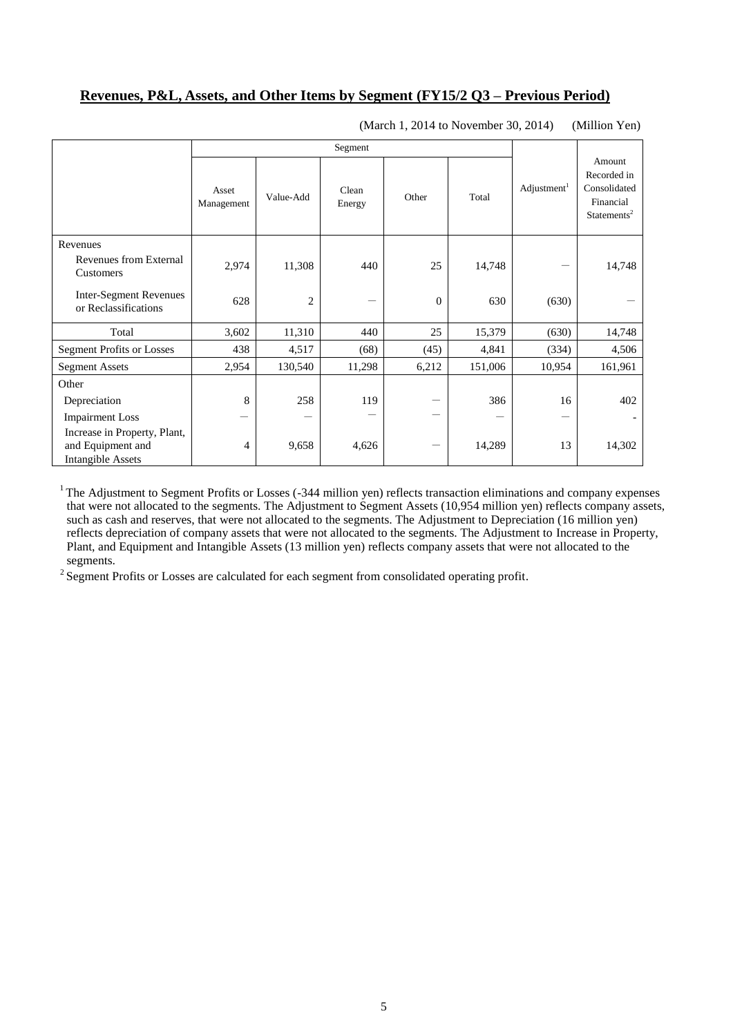## **Revenues, P&L, Assets, and Other Items by Segment (FY15/2 Q3 – Previous Period)**

|                                                                               | Segment             |           |                 |          |         |                       |                                                                               |
|-------------------------------------------------------------------------------|---------------------|-----------|-----------------|----------|---------|-----------------------|-------------------------------------------------------------------------------|
|                                                                               | Asset<br>Management | Value-Add | Clean<br>Energy | Other    | Total   | $\text{Adjustment}^1$ | Amount<br>Recorded in<br>Consolidated<br>Financial<br>Statements <sup>2</sup> |
| Revenues<br>Revenues from External                                            |                     |           |                 |          |         |                       |                                                                               |
| Customers                                                                     | 2,974               | 11,308    | 440             | 25       | 14,748  |                       | 14,748                                                                        |
| <b>Inter-Segment Revenues</b><br>or Reclassifications                         | 628                 | 2         |                 | $\theta$ | 630     | (630)                 |                                                                               |
| Total                                                                         | 3,602               | 11,310    | 440             | 25       | 15,379  | (630)                 | 14,748                                                                        |
| <b>Segment Profits or Losses</b>                                              | 438                 | 4,517     | (68)            | (45)     | 4,841   | (334)                 | 4,506                                                                         |
| <b>Segment Assets</b>                                                         | 2,954               | 130,540   | 11,298          | 6,212    | 151,006 | 10,954                | 161,961                                                                       |
| Other                                                                         |                     |           |                 |          |         |                       |                                                                               |
| Depreciation                                                                  | 8                   | 258       | 119             |          | 386     | 16                    | 402                                                                           |
| <b>Impairment Loss</b>                                                        |                     |           |                 |          |         |                       |                                                                               |
| Increase in Property, Plant,<br>and Equipment and<br><b>Intangible Assets</b> | 4                   | 9,658     | 4,626           |          | 14,289  | 13                    | 14,302                                                                        |

(March 1, 2014 to November 30, 2014) (Million Yen)

<sup>1</sup> The Adjustment to Segment Profits or Losses (-344 million yen) reflects transaction eliminations and company expenses that were not allocated to the segments. The Adjustment to Segment Assets (10,954 million yen) reflects company assets, such as cash and reserves, that were not allocated to the segments. The Adjustment to Depreciation (16 million yen) reflects depreciation of company assets that were not allocated to the segments. The Adjustment to Increase in Property, Plant, and Equipment and Intangible Assets (13 million yen) reflects company assets that were not allocated to the segments.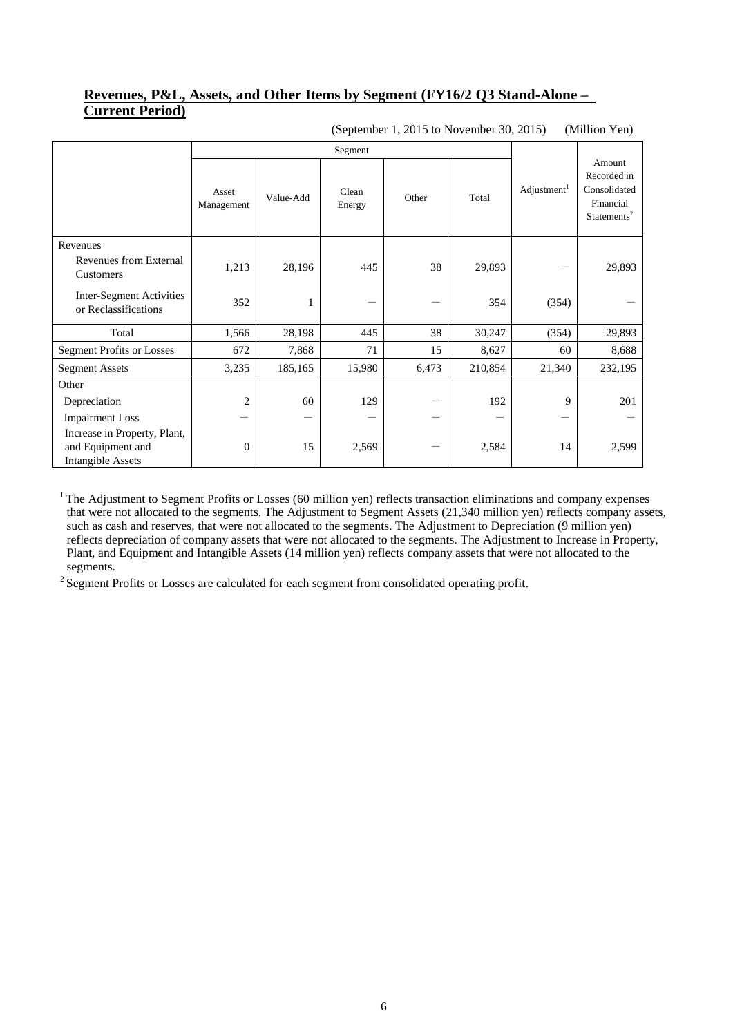### **Revenues, P&L, Assets, and Other Items by Segment (FY16/2 Q3 Stand-Alone – Current Period)**

|                                                                               | Segment             |           |                 |       |         |                         |                                                                               |
|-------------------------------------------------------------------------------|---------------------|-----------|-----------------|-------|---------|-------------------------|-------------------------------------------------------------------------------|
|                                                                               | Asset<br>Management | Value-Add | Clean<br>Energy | Other | Total   | Adjustment <sup>1</sup> | Amount<br>Recorded in<br>Consolidated<br>Financial<br>Statements <sup>2</sup> |
| Revenues                                                                      |                     |           |                 |       |         |                         |                                                                               |
| Revenues from External<br>Customers                                           | 1,213               | 28,196    | 445             | 38    | 29,893  |                         | 29,893                                                                        |
| Inter-Segment Activities<br>or Reclassifications                              | 352                 |           |                 |       | 354     | (354)                   |                                                                               |
| Total                                                                         | 1,566               | 28,198    | 445             | 38    | 30,247  | (354)                   | 29,893                                                                        |
| <b>Segment Profits or Losses</b>                                              | 672                 | 7,868     | 71              | 15    | 8,627   | 60                      | 8,688                                                                         |
| <b>Segment Assets</b>                                                         | 3,235               | 185,165   | 15,980          | 6,473 | 210,854 | 21,340                  | 232,195                                                                       |
| Other                                                                         |                     |           |                 |       |         |                         |                                                                               |
| Depreciation                                                                  | $\overline{2}$      | 60        | 129             |       | 192     | 9                       | 201                                                                           |
| <b>Impairment Loss</b>                                                        |                     |           |                 |       |         |                         |                                                                               |
| Increase in Property, Plant,<br>and Equipment and<br><b>Intangible Assets</b> | $\boldsymbol{0}$    | 15        | 2,569           |       | 2,584   | 14                      | 2,599                                                                         |

(September 1, 2015 to November 30, 2015) (Million Yen)

 $1$  The Adjustment to Segment Profits or Losses (60 million yen) reflects transaction eliminations and company expenses that were not allocated to the segments. The Adjustment to Segment Assets (21,340 million yen) reflects company assets, such as cash and reserves, that were not allocated to the segments. The Adjustment to Depreciation (9 million yen) reflects depreciation of company assets that were not allocated to the segments. The Adjustment to Increase in Property, Plant, and Equipment and Intangible Assets (14 million yen) reflects company assets that were not allocated to the segments.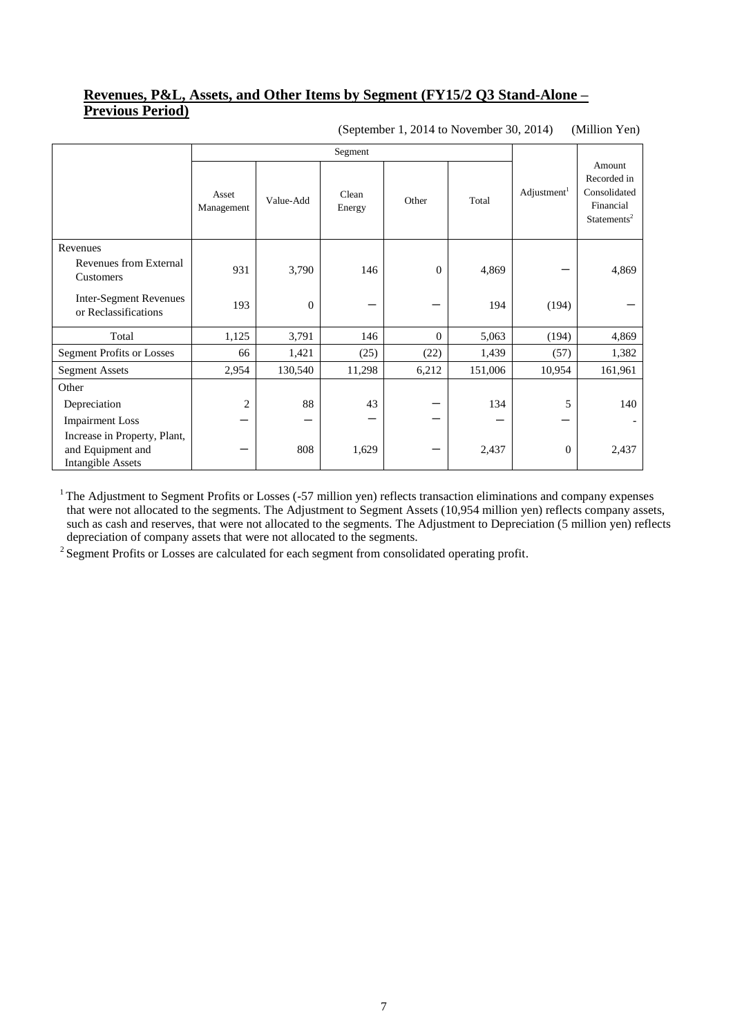## **Revenues, P&L, Assets, and Other Items by Segment (FY15/2 Q3 Stand-Alone – Previous Period)**

(September 1, 2014 to November 30, 2014) (Million Yen)

|                                                                               | Segment             |           |                 |              |         |                         |                                                                               |
|-------------------------------------------------------------------------------|---------------------|-----------|-----------------|--------------|---------|-------------------------|-------------------------------------------------------------------------------|
|                                                                               | Asset<br>Management | Value-Add | Clean<br>Energy | Other        | Total   | Adjustment <sup>1</sup> | Amount<br>Recorded in<br>Consolidated<br>Financial<br>Statements <sup>2</sup> |
| Revenues                                                                      |                     |           |                 |              |         |                         |                                                                               |
| Revenues from External<br>Customers                                           | 931                 | 3,790     | 146             | $\Omega$     | 4,869   |                         | 4,869                                                                         |
| <b>Inter-Segment Revenues</b><br>or Reclassifications                         | 193                 | $\theta$  |                 |              | 194     | (194)                   |                                                                               |
| Total                                                                         | 1,125               | 3,791     | 146             | $\mathbf{0}$ | 5,063   | (194)                   | 4,869                                                                         |
| <b>Segment Profits or Losses</b>                                              | 66                  | 1,421     | (25)            | (22)         | 1,439   | (57)                    | 1,382                                                                         |
| <b>Segment Assets</b>                                                         | 2,954               | 130,540   | 11,298          | 6,212        | 151,006 | 10,954                  | 161,961                                                                       |
| Other                                                                         |                     |           |                 |              |         |                         |                                                                               |
| Depreciation                                                                  | $\overline{2}$      | 88        | 43              |              | 134     | 5                       | 140                                                                           |
| <b>Impairment Loss</b>                                                        |                     |           |                 |              |         |                         |                                                                               |
| Increase in Property, Plant,<br>and Equipment and<br><b>Intangible Assets</b> |                     | 808       | 1,629           |              | 2,437   | $\boldsymbol{0}$        | 2,437                                                                         |

 $1$  The Adjustment to Segment Profits or Losses (-57 million yen) reflects transaction eliminations and company expenses that were not allocated to the segments. The Adjustment to Segment Assets (10,954 million yen) reflects company assets, such as cash and reserves, that were not allocated to the segments. The Adjustment to Depreciation (5 million yen) reflects depreciation of company assets that were not allocated to the segments.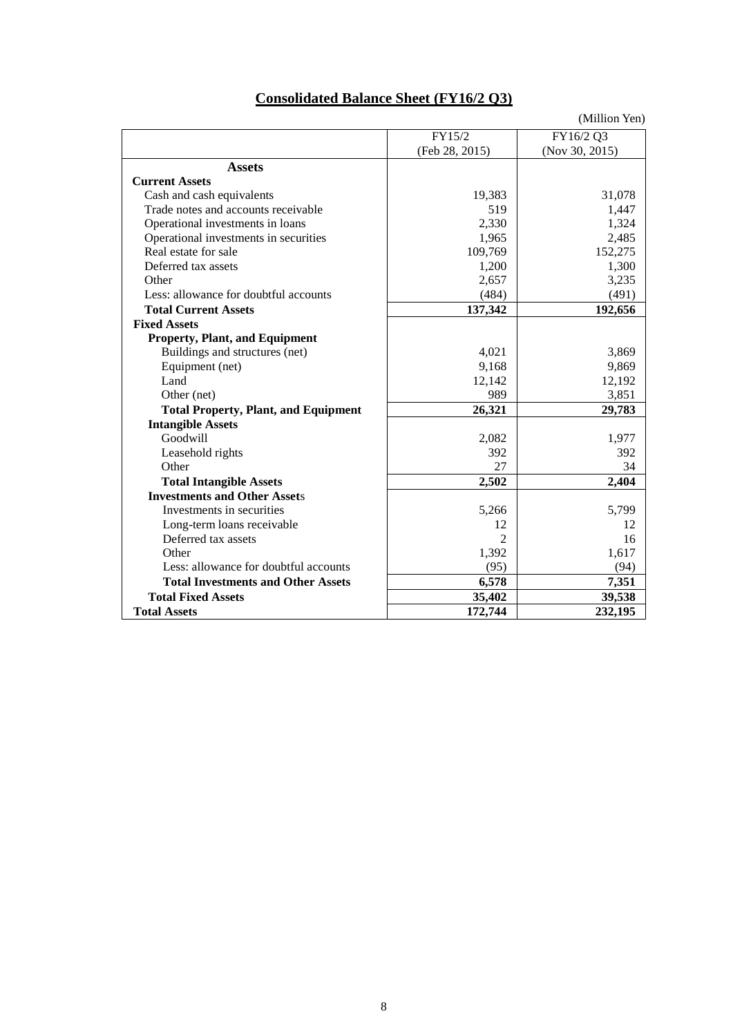| <b>Consolidated Balance Sheet (FY16/2 Q3)</b> |  |
|-----------------------------------------------|--|
|                                               |  |

| (Million Yen) |  |
|---------------|--|
|               |  |

|                                             | FY15/2         | FY16/2 Q3      |
|---------------------------------------------|----------------|----------------|
|                                             | (Feb 28, 2015) | (Nov 30, 2015) |
| <b>Assets</b>                               |                |                |
| <b>Current Assets</b>                       |                |                |
| Cash and cash equivalents                   | 19,383         | 31,078         |
| Trade notes and accounts receivable         | 519            | 1,447          |
| Operational investments in loans            | 2,330          | 1,324          |
| Operational investments in securities       | 1,965          | 2,485          |
| Real estate for sale                        | 109,769        | 152,275        |
| Deferred tax assets                         | 1,200          | 1,300          |
| Other                                       | 2,657          | 3,235          |
| Less: allowance for doubtful accounts       | (484)          | (491)          |
| <b>Total Current Assets</b>                 | 137,342        | 192,656        |
| <b>Fixed Assets</b>                         |                |                |
| <b>Property, Plant, and Equipment</b>       |                |                |
| Buildings and structures (net)              | 4,021          | 3,869          |
| Equipment (net)                             | 9,168          | 9,869          |
| Land                                        | 12,142         | 12,192         |
| Other (net)                                 | 989            | 3,851          |
| <b>Total Property, Plant, and Equipment</b> | 26,321         | 29,783         |
| <b>Intangible Assets</b>                    |                |                |
| Goodwill                                    | 2,082          | 1,977          |
| Leasehold rights                            | 392            | 392            |
| Other                                       | 27             | 34             |
| <b>Total Intangible Assets</b>              | 2,502          | 2,404          |
| <b>Investments and Other Assets</b>         |                |                |
| Investments in securities                   | 5,266          | 5,799          |
| Long-term loans receivable                  | 12             | 12             |
| Deferred tax assets                         | 2              | 16             |
| Other                                       | 1,392          | 1,617          |
| Less: allowance for doubtful accounts       | (95)           | (94)           |
| <b>Total Investments and Other Assets</b>   | 6,578          | 7,351          |
| <b>Total Fixed Assets</b>                   | 35,402         | 39,538         |
| <b>Total Assets</b>                         | 172,744        | 232,195        |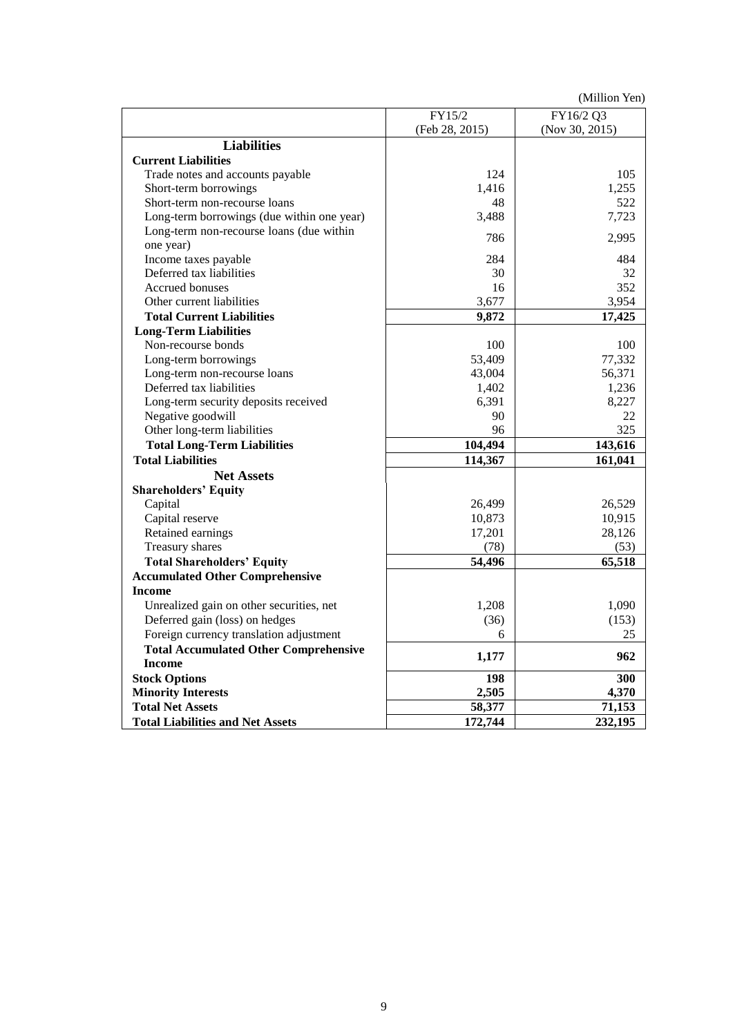(Million Yen)

|                                              | FY15/2         | FY16/2 Q3      |
|----------------------------------------------|----------------|----------------|
|                                              | (Feb 28, 2015) | (Nov 30, 2015) |
| <b>Liabilities</b>                           |                |                |
| <b>Current Liabilities</b>                   |                |                |
| Trade notes and accounts payable             | 124            | 105            |
| Short-term borrowings                        | 1,416          | 1,255          |
| Short-term non-recourse loans                | 48             | 522            |
| Long-term borrowings (due within one year)   | 3,488          | 7,723          |
| Long-term non-recourse loans (due within     | 786            | 2,995          |
| one year)                                    |                |                |
| Income taxes payable                         | 284            | 484            |
| Deferred tax liabilities                     | 30             | 32             |
| <b>Accrued bonuses</b>                       | 16             | 352            |
| Other current liabilities                    | 3,677          | 3,954          |
| <b>Total Current Liabilities</b>             | 9,872          | 17,425         |
| <b>Long-Term Liabilities</b>                 |                |                |
| Non-recourse bonds                           | 100            | 100            |
| Long-term borrowings                         | 53,409         | 77,332         |
| Long-term non-recourse loans                 | 43,004         | 56,371         |
| Deferred tax liabilities                     | 1,402          | 1,236          |
| Long-term security deposits received         | 6,391          | 8,227          |
| Negative goodwill                            | 90             | 22             |
| Other long-term liabilities                  | 96             | 325            |
| <b>Total Long-Term Liabilities</b>           | 104,494        | 143,616        |
| <b>Total Liabilities</b>                     | 114,367        | 161,041        |
| <b>Net Assets</b>                            |                |                |
| <b>Shareholders' Equity</b>                  |                |                |
| Capital                                      | 26,499         | 26,529         |
| Capital reserve                              | 10,873         | 10,915         |
| Retained earnings                            | 17,201         | 28,126         |
| Treasury shares                              | (78)           | (53)           |
| <b>Total Shareholders' Equity</b>            | 54,496         | 65,518         |
| <b>Accumulated Other Comprehensive</b>       |                |                |
| <b>Income</b>                                |                |                |
| Unrealized gain on other securities, net     | 1,208          | 1,090          |
| Deferred gain (loss) on hedges               | (36)           | (153)          |
| Foreign currency translation adjustment      | 6              | 25             |
| <b>Total Accumulated Other Comprehensive</b> |                | 962            |
| <b>Income</b>                                | 1,177          |                |
| <b>Stock Options</b>                         | 198            | 300            |
| <b>Minority Interests</b>                    | 2,505          | 4,370          |
| <b>Total Net Assets</b>                      | 58,377         | 71,153         |
| <b>Total Liabilities and Net Assets</b>      | 172,744        | 232,195        |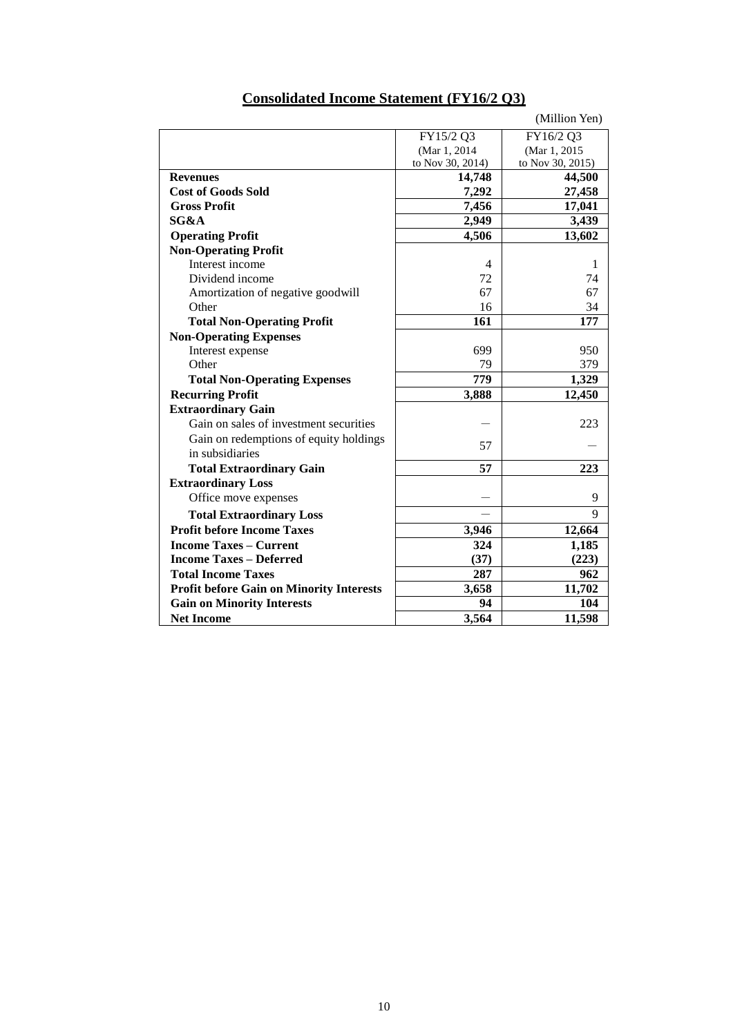| FY15/2 Q3<br>FY16/2 Q3<br>(Mar 1, 2015<br>(Mar 1, 2014)<br>to Nov 30, 2014)<br>to Nov 30, 2015)<br>44,500<br>14,748<br><b>Revenues</b><br><b>Cost of Goods Sold</b><br>7,292<br>27,458<br>7,456<br><b>Gross Profit</b><br>17,041<br>SG&A<br>2,949<br>3,439<br>4,506<br>13,602<br><b>Operating Profit</b><br><b>Non-Operating Profit</b><br>Interest income<br>4<br>1<br>Dividend income<br>72<br>74<br>67<br>67<br>Amortization of negative goodwill<br>16<br>34<br>Other<br>161<br>177<br><b>Total Non-Operating Profit</b><br><b>Non-Operating Expenses</b><br>699<br>Interest expense<br>950<br>Other<br>79<br>379<br>779<br>1,329<br><b>Total Non-Operating Expenses</b><br><b>Recurring Profit</b><br>3,888<br>12,450<br><b>Extraordinary Gain</b><br>Gain on sales of investment securities<br>223<br>Gain on redemptions of equity holdings<br>57<br>in subsidiaries<br>57<br>223<br><b>Total Extraordinary Gain</b><br><b>Extraordinary Loss</b><br>9<br>Office move expenses<br>9<br><b>Total Extraordinary Loss</b><br><b>Profit before Income Taxes</b><br>3,946<br>12,664<br><b>Income Taxes – Current</b><br>324<br>1,185<br>(223)<br><b>Income Taxes - Deferred</b><br>(37)<br>287<br>962<br><b>Total Income Taxes</b><br>11,702<br>3,658<br><b>Profit before Gain on Minority Interests</b><br>94<br><b>Gain on Minority Interests</b><br>104<br><b>Net Income</b><br>3,564<br>11,598 |  | (Million Yen) |
|------------------------------------------------------------------------------------------------------------------------------------------------------------------------------------------------------------------------------------------------------------------------------------------------------------------------------------------------------------------------------------------------------------------------------------------------------------------------------------------------------------------------------------------------------------------------------------------------------------------------------------------------------------------------------------------------------------------------------------------------------------------------------------------------------------------------------------------------------------------------------------------------------------------------------------------------------------------------------------------------------------------------------------------------------------------------------------------------------------------------------------------------------------------------------------------------------------------------------------------------------------------------------------------------------------------------------------------------------------------------------------------------------|--|---------------|
|                                                                                                                                                                                                                                                                                                                                                                                                                                                                                                                                                                                                                                                                                                                                                                                                                                                                                                                                                                                                                                                                                                                                                                                                                                                                                                                                                                                                      |  |               |
|                                                                                                                                                                                                                                                                                                                                                                                                                                                                                                                                                                                                                                                                                                                                                                                                                                                                                                                                                                                                                                                                                                                                                                                                                                                                                                                                                                                                      |  |               |
|                                                                                                                                                                                                                                                                                                                                                                                                                                                                                                                                                                                                                                                                                                                                                                                                                                                                                                                                                                                                                                                                                                                                                                                                                                                                                                                                                                                                      |  |               |
|                                                                                                                                                                                                                                                                                                                                                                                                                                                                                                                                                                                                                                                                                                                                                                                                                                                                                                                                                                                                                                                                                                                                                                                                                                                                                                                                                                                                      |  |               |
|                                                                                                                                                                                                                                                                                                                                                                                                                                                                                                                                                                                                                                                                                                                                                                                                                                                                                                                                                                                                                                                                                                                                                                                                                                                                                                                                                                                                      |  |               |
|                                                                                                                                                                                                                                                                                                                                                                                                                                                                                                                                                                                                                                                                                                                                                                                                                                                                                                                                                                                                                                                                                                                                                                                                                                                                                                                                                                                                      |  |               |
|                                                                                                                                                                                                                                                                                                                                                                                                                                                                                                                                                                                                                                                                                                                                                                                                                                                                                                                                                                                                                                                                                                                                                                                                                                                                                                                                                                                                      |  |               |
|                                                                                                                                                                                                                                                                                                                                                                                                                                                                                                                                                                                                                                                                                                                                                                                                                                                                                                                                                                                                                                                                                                                                                                                                                                                                                                                                                                                                      |  |               |
|                                                                                                                                                                                                                                                                                                                                                                                                                                                                                                                                                                                                                                                                                                                                                                                                                                                                                                                                                                                                                                                                                                                                                                                                                                                                                                                                                                                                      |  |               |
|                                                                                                                                                                                                                                                                                                                                                                                                                                                                                                                                                                                                                                                                                                                                                                                                                                                                                                                                                                                                                                                                                                                                                                                                                                                                                                                                                                                                      |  |               |
|                                                                                                                                                                                                                                                                                                                                                                                                                                                                                                                                                                                                                                                                                                                                                                                                                                                                                                                                                                                                                                                                                                                                                                                                                                                                                                                                                                                                      |  |               |
|                                                                                                                                                                                                                                                                                                                                                                                                                                                                                                                                                                                                                                                                                                                                                                                                                                                                                                                                                                                                                                                                                                                                                                                                                                                                                                                                                                                                      |  |               |
|                                                                                                                                                                                                                                                                                                                                                                                                                                                                                                                                                                                                                                                                                                                                                                                                                                                                                                                                                                                                                                                                                                                                                                                                                                                                                                                                                                                                      |  |               |
|                                                                                                                                                                                                                                                                                                                                                                                                                                                                                                                                                                                                                                                                                                                                                                                                                                                                                                                                                                                                                                                                                                                                                                                                                                                                                                                                                                                                      |  |               |
|                                                                                                                                                                                                                                                                                                                                                                                                                                                                                                                                                                                                                                                                                                                                                                                                                                                                                                                                                                                                                                                                                                                                                                                                                                                                                                                                                                                                      |  |               |
|                                                                                                                                                                                                                                                                                                                                                                                                                                                                                                                                                                                                                                                                                                                                                                                                                                                                                                                                                                                                                                                                                                                                                                                                                                                                                                                                                                                                      |  |               |
|                                                                                                                                                                                                                                                                                                                                                                                                                                                                                                                                                                                                                                                                                                                                                                                                                                                                                                                                                                                                                                                                                                                                                                                                                                                                                                                                                                                                      |  |               |
|                                                                                                                                                                                                                                                                                                                                                                                                                                                                                                                                                                                                                                                                                                                                                                                                                                                                                                                                                                                                                                                                                                                                                                                                                                                                                                                                                                                                      |  |               |
|                                                                                                                                                                                                                                                                                                                                                                                                                                                                                                                                                                                                                                                                                                                                                                                                                                                                                                                                                                                                                                                                                                                                                                                                                                                                                                                                                                                                      |  |               |
|                                                                                                                                                                                                                                                                                                                                                                                                                                                                                                                                                                                                                                                                                                                                                                                                                                                                                                                                                                                                                                                                                                                                                                                                                                                                                                                                                                                                      |  |               |
|                                                                                                                                                                                                                                                                                                                                                                                                                                                                                                                                                                                                                                                                                                                                                                                                                                                                                                                                                                                                                                                                                                                                                                                                                                                                                                                                                                                                      |  |               |
|                                                                                                                                                                                                                                                                                                                                                                                                                                                                                                                                                                                                                                                                                                                                                                                                                                                                                                                                                                                                                                                                                                                                                                                                                                                                                                                                                                                                      |  |               |
|                                                                                                                                                                                                                                                                                                                                                                                                                                                                                                                                                                                                                                                                                                                                                                                                                                                                                                                                                                                                                                                                                                                                                                                                                                                                                                                                                                                                      |  |               |
|                                                                                                                                                                                                                                                                                                                                                                                                                                                                                                                                                                                                                                                                                                                                                                                                                                                                                                                                                                                                                                                                                                                                                                                                                                                                                                                                                                                                      |  |               |
|                                                                                                                                                                                                                                                                                                                                                                                                                                                                                                                                                                                                                                                                                                                                                                                                                                                                                                                                                                                                                                                                                                                                                                                                                                                                                                                                                                                                      |  |               |
|                                                                                                                                                                                                                                                                                                                                                                                                                                                                                                                                                                                                                                                                                                                                                                                                                                                                                                                                                                                                                                                                                                                                                                                                                                                                                                                                                                                                      |  |               |
|                                                                                                                                                                                                                                                                                                                                                                                                                                                                                                                                                                                                                                                                                                                                                                                                                                                                                                                                                                                                                                                                                                                                                                                                                                                                                                                                                                                                      |  |               |
|                                                                                                                                                                                                                                                                                                                                                                                                                                                                                                                                                                                                                                                                                                                                                                                                                                                                                                                                                                                                                                                                                                                                                                                                                                                                                                                                                                                                      |  |               |
|                                                                                                                                                                                                                                                                                                                                                                                                                                                                                                                                                                                                                                                                                                                                                                                                                                                                                                                                                                                                                                                                                                                                                                                                                                                                                                                                                                                                      |  |               |
|                                                                                                                                                                                                                                                                                                                                                                                                                                                                                                                                                                                                                                                                                                                                                                                                                                                                                                                                                                                                                                                                                                                                                                                                                                                                                                                                                                                                      |  |               |
|                                                                                                                                                                                                                                                                                                                                                                                                                                                                                                                                                                                                                                                                                                                                                                                                                                                                                                                                                                                                                                                                                                                                                                                                                                                                                                                                                                                                      |  |               |
|                                                                                                                                                                                                                                                                                                                                                                                                                                                                                                                                                                                                                                                                                                                                                                                                                                                                                                                                                                                                                                                                                                                                                                                                                                                                                                                                                                                                      |  |               |
|                                                                                                                                                                                                                                                                                                                                                                                                                                                                                                                                                                                                                                                                                                                                                                                                                                                                                                                                                                                                                                                                                                                                                                                                                                                                                                                                                                                                      |  |               |
|                                                                                                                                                                                                                                                                                                                                                                                                                                                                                                                                                                                                                                                                                                                                                                                                                                                                                                                                                                                                                                                                                                                                                                                                                                                                                                                                                                                                      |  |               |

# **Consolidated Income Statement (FY16/2 Q3)**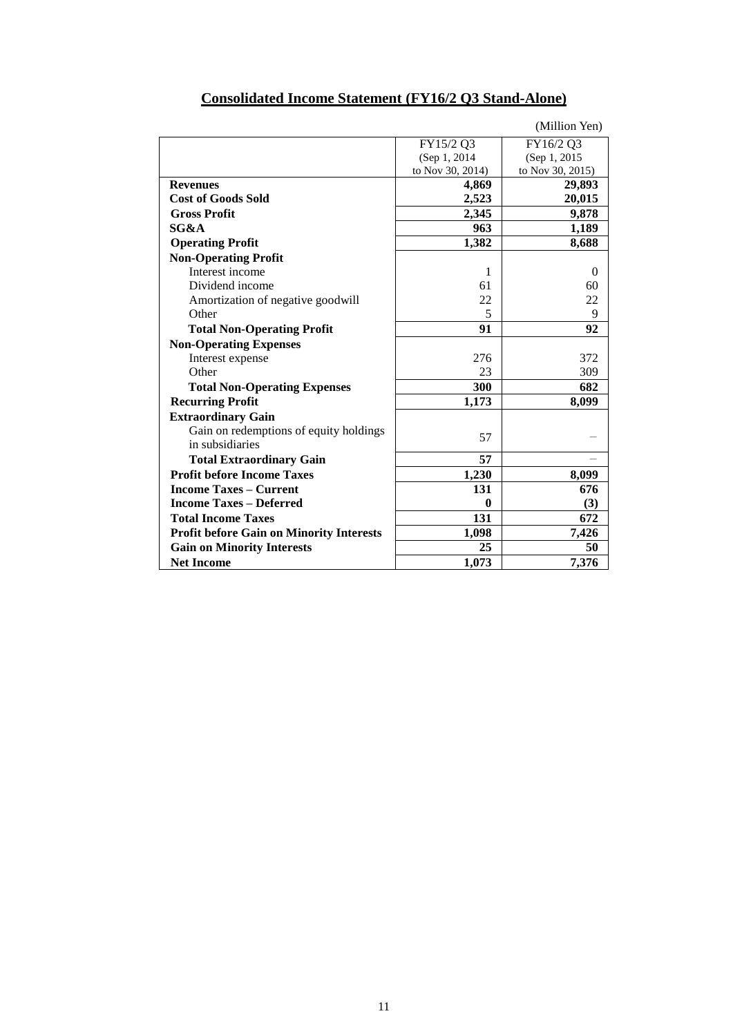|                                                           |                  | (Million Yen)    |
|-----------------------------------------------------------|------------------|------------------|
|                                                           | FY15/2 Q3        | FY16/2 Q3        |
|                                                           | (Sep 1, 2014)    | (Sep 1, 2015)    |
|                                                           | to Nov 30, 2014) | to Nov 30, 2015) |
| <b>Revenues</b>                                           | 4,869            | 29,893           |
| <b>Cost of Goods Sold</b>                                 | 2,523            | 20,015           |
| <b>Gross Profit</b>                                       | 2,345            | 9,878            |
| SG&A                                                      | 963              | 1,189            |
| <b>Operating Profit</b>                                   | 1,382            | 8,688            |
| <b>Non-Operating Profit</b>                               |                  |                  |
| Interest income                                           | 1                | $\Omega$         |
| Dividend income                                           | 61               | 60               |
| Amortization of negative goodwill                         | 22               | 22               |
| Other                                                     | 5                | 9                |
| <b>Total Non-Operating Profit</b>                         | 91               | 92               |
| <b>Non-Operating Expenses</b>                             |                  |                  |
| Interest expense                                          | 276              | 372              |
| Other                                                     | 23               | 309              |
| <b>Total Non-Operating Expenses</b>                       | 300              | 682              |
| <b>Recurring Profit</b>                                   | 1,173            | 8,099            |
| <b>Extraordinary Gain</b>                                 |                  |                  |
| Gain on redemptions of equity holdings<br>in subsidiaries | 57               |                  |
| <b>Total Extraordinary Gain</b>                           | 57               |                  |
| <b>Profit before Income Taxes</b>                         | 1,230            | 8,099            |
| <b>Income Taxes – Current</b>                             | 131              | 676              |
| <b>Income Taxes – Deferred</b>                            | $\bf{0}$         | (3)              |
| <b>Total Income Taxes</b>                                 | 131              | 672              |
| <b>Profit before Gain on Minority Interests</b>           | 1,098            | 7,426            |
| <b>Gain on Minority Interests</b>                         | 25               | 50               |
| <b>Net Income</b>                                         | 1,073            | 7,376            |

## **Consolidated Income Statement (FY16/2 Q3 Stand-Alone)**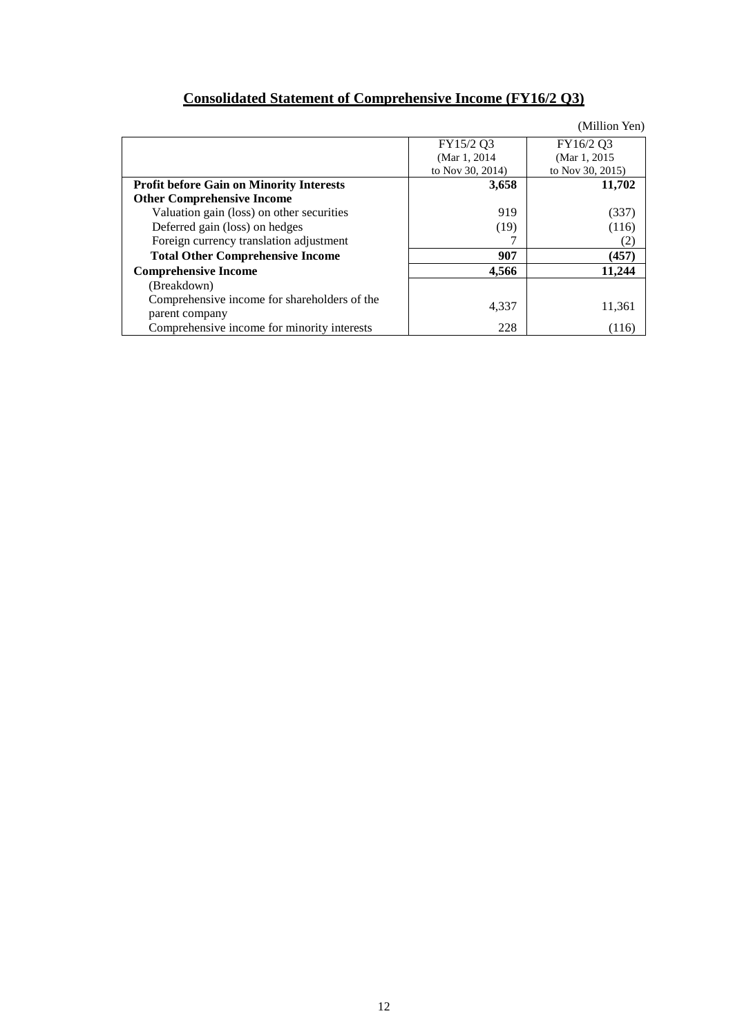| <b>Consolidated Statement of Comprehensive Income (FY16/2 Q3)</b> |
|-------------------------------------------------------------------|
|-------------------------------------------------------------------|

|                                                                |                  | (Million Yen)    |
|----------------------------------------------------------------|------------------|------------------|
|                                                                | FY15/2 Q3        | FY16/2 Q3        |
|                                                                | (Mar 1, 2014)    | (Mar 1, 2015)    |
|                                                                | to Nov 30, 2014) | to Nov 30, 2015) |
| <b>Profit before Gain on Minority Interests</b>                | 3,658            | 11,702           |
| <b>Other Comprehensive Income</b>                              |                  |                  |
| Valuation gain (loss) on other securities                      | 919              | (337)            |
| Deferred gain (loss) on hedges                                 | (19)             | (116)            |
| Foreign currency translation adjustment                        |                  | (2)              |
| <b>Total Other Comprehensive Income</b>                        | 907              | (457)            |
| <b>Comprehensive Income</b>                                    | 4,566            | 11,244           |
| (Breakdown)                                                    |                  |                  |
| Comprehensive income for shareholders of the<br>parent company | 4,337            | 11,361           |
| Comprehensive income for minority interests                    | 228              | (116)            |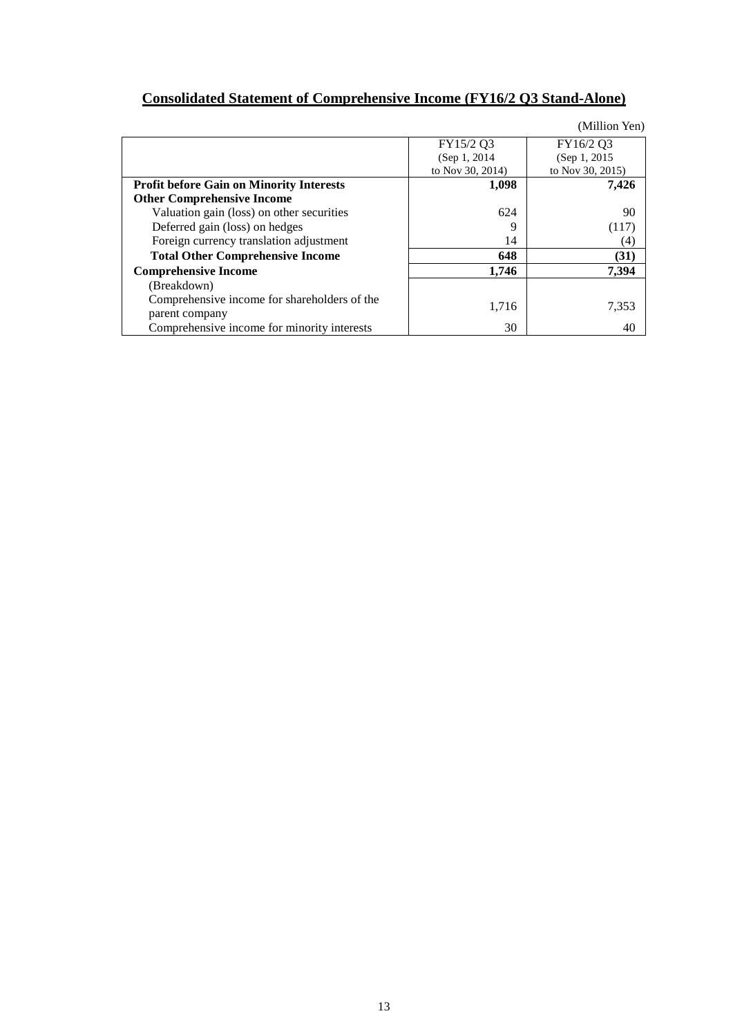# **Consolidated Statement of Comprehensive Income (FY16/2 Q3 Stand-Alone)**

|                                                 |                  | (Million Yen)    |
|-------------------------------------------------|------------------|------------------|
|                                                 | FY15/2 Q3        | FY16/2 Q3        |
|                                                 | (Sep 1, 2014)    | (Sep 1, 2015)    |
|                                                 | to Nov 30, 2014) | to Nov 30, 2015) |
| <b>Profit before Gain on Minority Interests</b> | 1,098            | 7,426            |
| <b>Other Comprehensive Income</b>               |                  |                  |
| Valuation gain (loss) on other securities       | 624              | 90               |
| Deferred gain (loss) on hedges                  | 9                | (117)            |
| Foreign currency translation adjustment         | 14               | (4)              |
| <b>Total Other Comprehensive Income</b>         | 648              | (31)             |
| <b>Comprehensive Income</b>                     | 1,746            | 7,394            |
| (Breakdown)                                     |                  |                  |
| Comprehensive income for shareholders of the    |                  |                  |
| parent company                                  | 1,716            | 7,353            |
| Comprehensive income for minority interests     | 30               | 40               |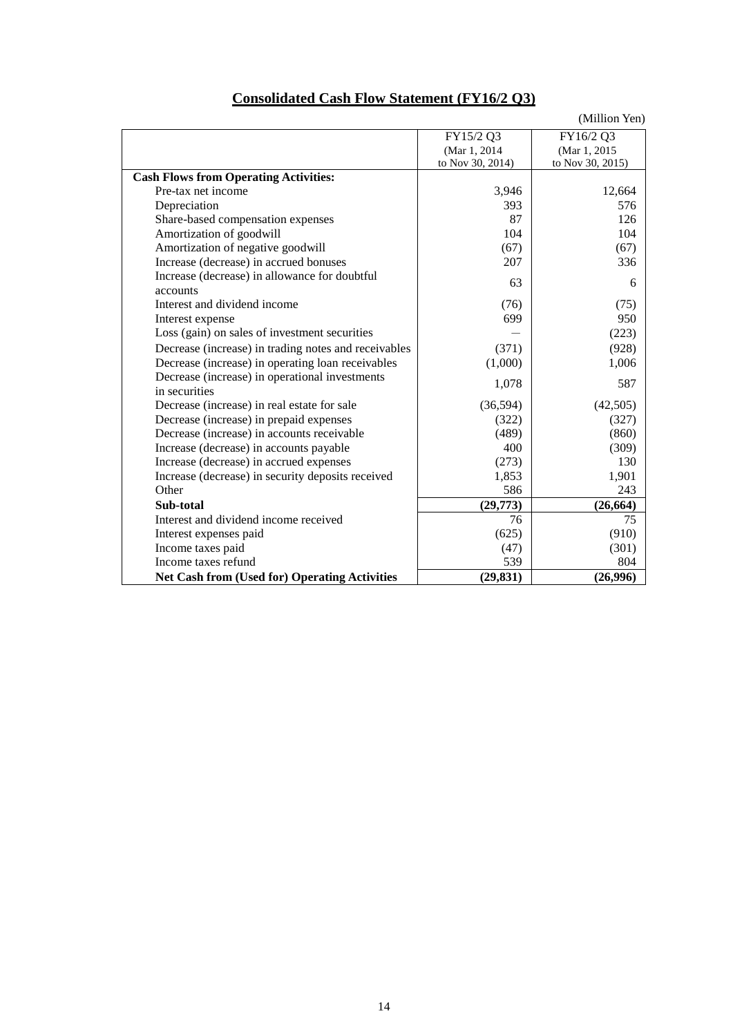| <b>Consolidated Cash Flow Statement (FY16/2 Q3)</b> |            |               |
|-----------------------------------------------------|------------|---------------|
|                                                     |            | (Million Yen) |
|                                                     | T1174F/200 |               |

|                                                      | FY15/2 Q3        | FY16/2 Q3        |
|------------------------------------------------------|------------------|------------------|
|                                                      | (Mar 1, 2014     | (Mar 1, 2015     |
|                                                      | to Nov 30, 2014) | to Nov 30, 2015) |
| <b>Cash Flows from Operating Activities:</b>         |                  |                  |
| Pre-tax net income                                   | 3,946            | 12,664           |
| Depreciation                                         | 393              | 576              |
| Share-based compensation expenses                    | 87               | 126              |
| Amortization of goodwill                             | 104              | 104              |
| Amortization of negative goodwill                    | (67)             | (67)             |
| Increase (decrease) in accrued bonuses               | 207              | 336              |
| Increase (decrease) in allowance for doubtful        | 63               | 6                |
| accounts                                             |                  |                  |
| Interest and dividend income                         | (76)             | (75)             |
| Interest expense                                     | 699              | 950              |
| Loss (gain) on sales of investment securities        |                  | (223)            |
| Decrease (increase) in trading notes and receivables | (371)            | (928)            |
| Decrease (increase) in operating loan receivables    | (1,000)          | 1,006            |
| Decrease (increase) in operational investments       | 1,078            | 587              |
| in securities                                        |                  |                  |
| Decrease (increase) in real estate for sale          | (36, 594)        | (42,505)         |
| Decrease (increase) in prepaid expenses              | (322)            | (327)            |
| Decrease (increase) in accounts receivable           | (489)            | (860)            |
| Increase (decrease) in accounts payable              | 400              | (309)            |
| Increase (decrease) in accrued expenses              | (273)            | 130              |
| Increase (decrease) in security deposits received    | 1,853            | 1,901            |
| Other                                                | 586              | 243              |
| Sub-total                                            | (29,773)         | (26, 664)        |
| Interest and dividend income received                | 76               | 75               |
| Interest expenses paid                               | (625)            | (910)            |
| Income taxes paid                                    | (47)             | (301)            |
| Income taxes refund                                  | 539              | 804              |
| <b>Net Cash from (Used for) Operating Activities</b> | (29, 831)        | (26,996)         |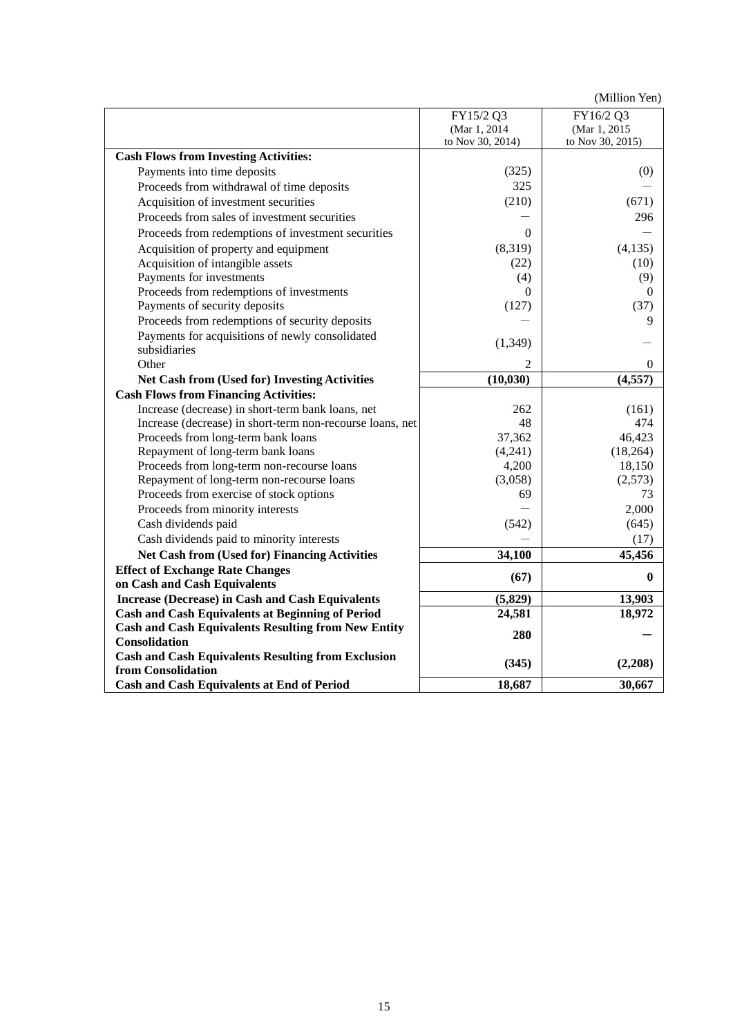(Million Yen)

|                                                            | FY15/2 Q3        | FY16/2 Q3        |
|------------------------------------------------------------|------------------|------------------|
|                                                            | (Mar 1, 2014)    | (Mar 1, 2015)    |
|                                                            | to Nov 30, 2014) | to Nov 30, 2015) |
| <b>Cash Flows from Investing Activities:</b>               |                  |                  |
| Payments into time deposits                                | (325)            | (0)              |
| Proceeds from withdrawal of time deposits                  | 325              |                  |
| Acquisition of investment securities                       | (210)            | (671)            |
| Proceeds from sales of investment securities               |                  | 296              |
| Proceeds from redemptions of investment securities         | $\Omega$         |                  |
| Acquisition of property and equipment                      | (8,319)          | (4, 135)         |
| Acquisition of intangible assets                           | (22)             | (10)             |
| Payments for investments                                   | (4)              | (9)              |
| Proceeds from redemptions of investments                   | $\Omega$         | $\theta$         |
| Payments of security deposits                              | (127)            | (37)             |
| Proceeds from redemptions of security deposits             |                  | 9                |
| Payments for acquisitions of newly consolidated            |                  |                  |
| subsidiaries                                               | (1, 349)         |                  |
| Other                                                      |                  | 0                |
| <b>Net Cash from (Used for) Investing Activities</b>       | (10, 030)        | (4, 557)         |
| <b>Cash Flows from Financing Activities:</b>               |                  |                  |
| Increase (decrease) in short-term bank loans, net          | 262              | (161)            |
| Increase (decrease) in short-term non-recourse loans, net  | 48               | 474              |
| Proceeds from long-term bank loans                         | 37,362           | 46,423           |
| Repayment of long-term bank loans                          | (4,241)          | (18, 264)        |
| Proceeds from long-term non-recourse loans                 | 4,200            | 18,150           |
| Repayment of long-term non-recourse loans                  | (3,058)          | (2,573)          |
| Proceeds from exercise of stock options                    | 69               | 73               |
| Proceeds from minority interests                           |                  | 2,000            |
| Cash dividends paid                                        | (542)            | (645)            |
| Cash dividends paid to minority interests                  |                  | (17)             |
| <b>Net Cash from (Used for) Financing Activities</b>       | 34,100           | 45,456           |
| <b>Effect of Exchange Rate Changes</b>                     | (67)             | 0                |
| on Cash and Cash Equivalents                               |                  |                  |
| <b>Increase (Decrease) in Cash and Cash Equivalents</b>    | (5,829)          | 13,903           |
| <b>Cash and Cash Equivalents at Beginning of Period</b>    | 24,581           | 18,972           |
| <b>Cash and Cash Equivalents Resulting from New Entity</b> | 280              |                  |
| Consolidation                                              |                  |                  |
| <b>Cash and Cash Equivalents Resulting from Exclusion</b>  | (345)            | (2,208)          |
| from Consolidation                                         |                  |                  |
| <b>Cash and Cash Equivalents at End of Period</b>          | 18,687           | 30,667           |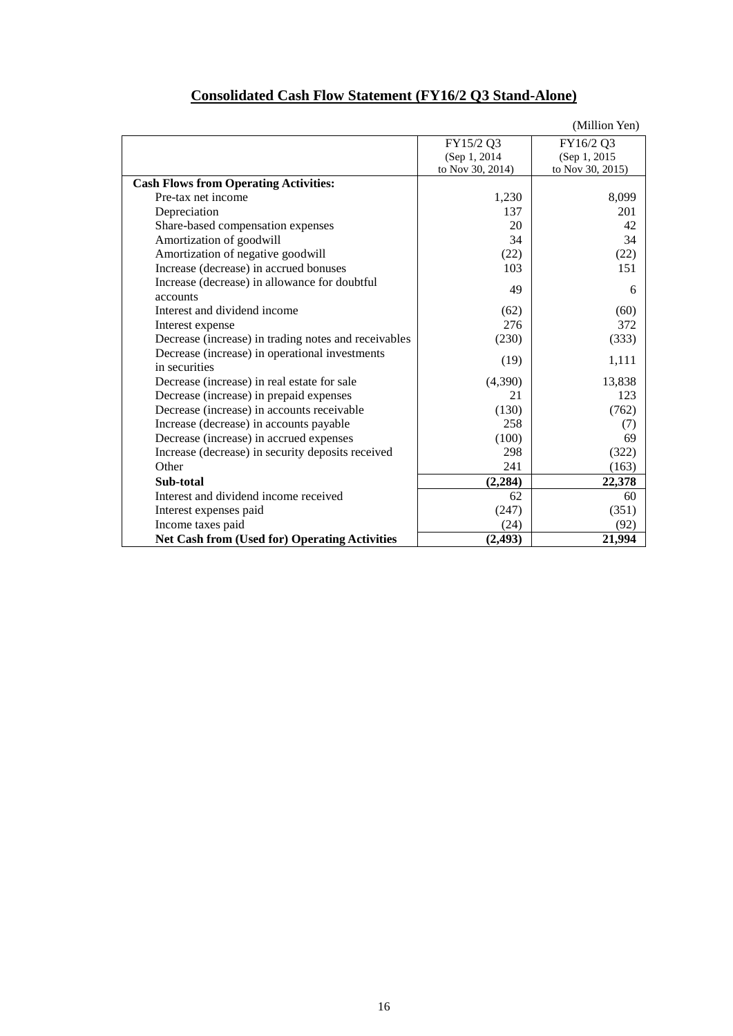|                                                      |                  | (Million Yen)    |
|------------------------------------------------------|------------------|------------------|
|                                                      | FY15/2 Q3        | FY16/2 Q3        |
|                                                      | (Sep 1, 2014)    | (Sep 1, 2015)    |
|                                                      | to Nov 30, 2014) | to Nov 30, 2015) |
| <b>Cash Flows from Operating Activities:</b>         |                  |                  |
| Pre-tax net income                                   | 1,230            | 8,099            |
| Depreciation                                         | 137              | 201              |
| Share-based compensation expenses                    | 20               | 42               |
| Amortization of goodwill                             | 34               | 34               |
| Amortization of negative goodwill                    | (22)             | (22)             |
| Increase (decrease) in accrued bonuses               | 103              | 151              |
| Increase (decrease) in allowance for doubtful        | 49               | 6                |
| accounts                                             |                  |                  |
| Interest and dividend income                         | (62)             | (60)             |
| Interest expense                                     | 276              | 372              |
| Decrease (increase) in trading notes and receivables | (230)            | (333)            |
| Decrease (increase) in operational investments       |                  |                  |
| in securities                                        | (19)             | 1,111            |
| Decrease (increase) in real estate for sale          | (4,390)          | 13,838           |
| Decrease (increase) in prepaid expenses              | 21               | 123              |
| Decrease (increase) in accounts receivable           | (130)            | (762)            |
| Increase (decrease) in accounts payable              | 258              | (7)              |
| Decrease (increase) in accrued expenses              | (100)            | 69               |
| Increase (decrease) in security deposits received    | 298              | (322)            |
| Other                                                | 241              | (163)            |
| Sub-total                                            | (2, 284)         | 22,378           |
| Interest and dividend income received                | 62               | 60               |
| Interest expenses paid                               | (247)            | (351)            |
| Income taxes paid                                    | (24)             | (92)             |
| <b>Net Cash from (Used for) Operating Activities</b> | (2, 493)         | 21,994           |

## **Consolidated Cash Flow Statement (FY16/2 Q3 Stand-Alone)**